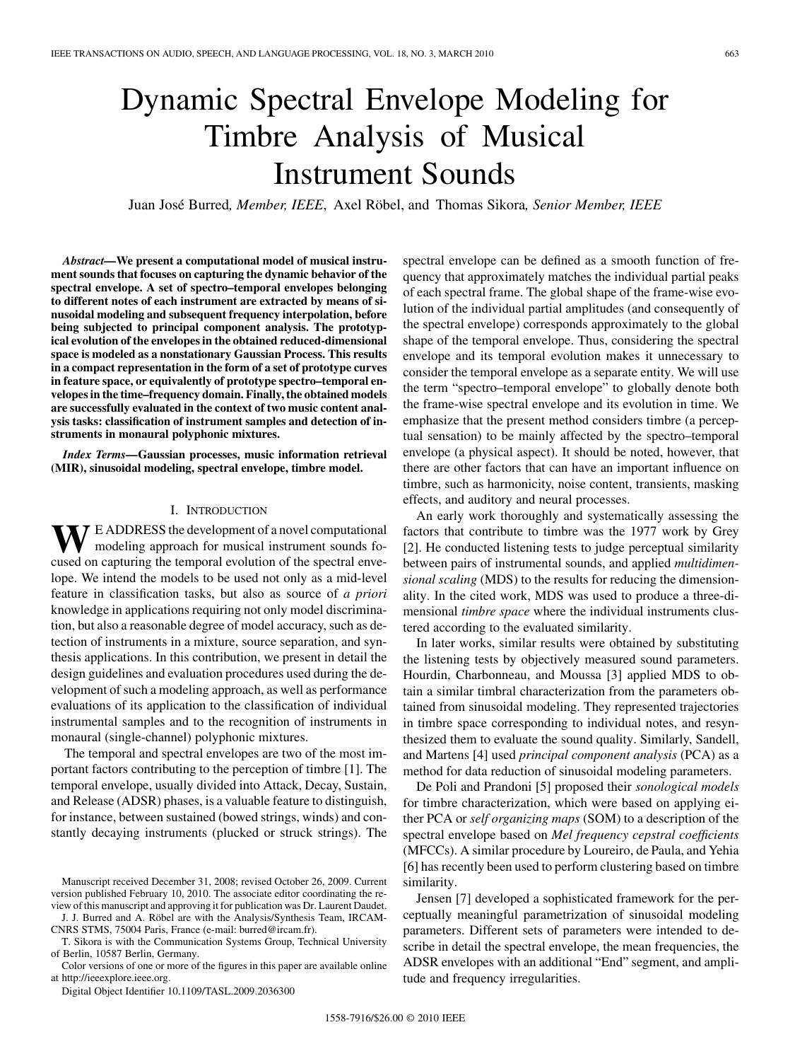# Dynamic Spectral Envelope Modeling for Timbre Analysis of Musical Instrument Sounds

Juan José Burred*, Member, IEEE*, Axel Röbel, and Thomas Sikora*, Senior Member, IEEE*

*Abstract—***We present a computational model of musical instrument sounds that focuses on capturing the dynamic behavior of the spectral envelope. A set of spectro–temporal envelopes belonging to different notes of each instrument are extracted by means of sinusoidal modeling and subsequent frequency interpolation, before being subjected to principal component analysis. The prototypical evolution of the envelopes in the obtained reduced-dimensional space is modeled as a nonstationary Gaussian Process. This results in a compact representation in the form of a set of prototype curves in feature space, or equivalently of prototype spectro–temporal envelopes in the time–frequency domain. Finally, the obtained models are successfully evaluated in the context of two music content analysis tasks: classification of instrument samples and detection of instruments in monaural polyphonic mixtures.**

*Index Terms—***Gaussian processes, music information retrieval (MIR), sinusoidal modeling, spectral envelope, timbre model.**

# I. INTRODUCTION

**WE ADDRESS** the development of a novel computational modeling approach for musical instrument sounds focused on capturing the temporal evolution of the spectral envelope. We intend the models to be used not only as a mid-level feature in classification tasks, but also as source of *a priori* knowledge in applications requiring not only model discrimination, but also a reasonable degree of model accuracy, such as detection of instruments in a mixture, source separation, and synthesis applications. In this contribution, we present in detail the design guidelines and evaluation procedures used during the development of such a modeling approach, as well as performance evaluations of its application to the classification of individual instrumental samples and to the recognition of instruments in monaural (single-channel) polyphonic mixtures.

The temporal and spectral envelopes are two of the most important factors contributing to the perception of timbre [1]. The temporal envelope, usually divided into Attack, Decay, Sustain, and Release (ADSR) phases, is a valuable feature to distinguish, for instance, between sustained (bowed strings, winds) and constantly decaying instruments (plucked or struck strings). The

Manuscript received December 31, 2008; revised October 26, 2009. Current version published February 10, 2010. The associate editor coordinating the review of this manuscript and approving it for publication was Dr. Laurent Daudet. J. J. Burred and A. Röbel are with the Analysis/Synthesis Team, IRCAM-

CNRS STMS, 75004 Paris, France (e-mail: burred@ircam.fr).

T. Sikora is with the Communication Systems Group, Technical University of Berlin, 10587 Berlin, Germany.

Color versions of one or more of the figures in this paper are available online at http://ieeexplore.ieee.org.

Digital Object Identifier 10.1109/TASL.2009.2036300

spectral envelope can be defined as a smooth function of frequency that approximately matches the individual partial peaks of each spectral frame. The global shape of the frame-wise evolution of the individual partial amplitudes (and consequently of the spectral envelope) corresponds approximately to the global shape of the temporal envelope. Thus, considering the spectral envelope and its temporal evolution makes it unnecessary to consider the temporal envelope as a separate entity. We will use the term "spectro–temporal envelope" to globally denote both the frame-wise spectral envelope and its evolution in time. We emphasize that the present method considers timbre (a perceptual sensation) to be mainly affected by the spectro–temporal envelope (a physical aspect). It should be noted, however, that there are other factors that can have an important influence on timbre, such as harmonicity, noise content, transients, masking effects, and auditory and neural processes.

An early work thoroughly and systematically assessing the factors that contribute to timbre was the 1977 work by Grey [2]. He conducted listening tests to judge perceptual similarity between pairs of instrumental sounds, and applied *multidimensional scaling* (MDS) to the results for reducing the dimensionality. In the cited work, MDS was used to produce a three-dimensional *timbre space* where the individual instruments clustered according to the evaluated similarity.

In later works, similar results were obtained by substituting the listening tests by objectively measured sound parameters. Hourdin, Charbonneau, and Moussa [3] applied MDS to obtain a similar timbral characterization from the parameters obtained from sinusoidal modeling. They represented trajectories in timbre space corresponding to individual notes, and resynthesized them to evaluate the sound quality. Similarly, Sandell, and Martens [4] used *principal component analysis* (PCA) as a method for data reduction of sinusoidal modeling parameters.

De Poli and Prandoni [5] proposed their *sonological models* for timbre characterization, which were based on applying either PCA or *self organizing maps* (SOM) to a description of the spectral envelope based on *Mel frequency cepstral coefficients* (MFCCs). A similar procedure by Loureiro, de Paula, and Yehia [6] has recently been used to perform clustering based on timbre similarity.

Jensen [7] developed a sophisticated framework for the perceptually meaningful parametrization of sinusoidal modeling parameters. Different sets of parameters were intended to describe in detail the spectral envelope, the mean frequencies, the ADSR envelopes with an additional "End" segment, and amplitude and frequency irregularities.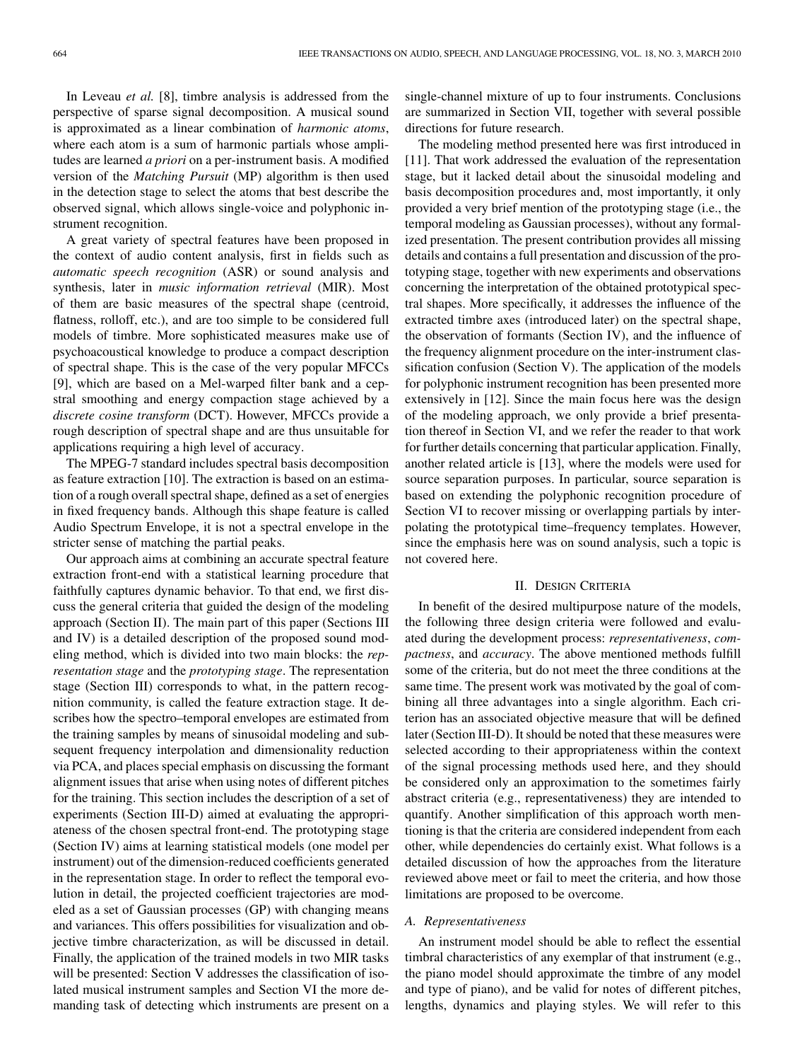In Leveau *et al.* [8], timbre analysis is addressed from the perspective of sparse signal decomposition. A musical sound is approximated as a linear combination of *harmonic atoms*, where each atom is a sum of harmonic partials whose amplitudes are learned *a priori* on a per-instrument basis. A modified version of the *Matching Pursuit* (MP) algorithm is then used in the detection stage to select the atoms that best describe the observed signal, which allows single-voice and polyphonic instrument recognition.

A great variety of spectral features have been proposed in the context of audio content analysis, first in fields such as *automatic speech recognition* (ASR) or sound analysis and synthesis, later in *music information retrieval* (MIR). Most of them are basic measures of the spectral shape (centroid, flatness, rolloff, etc.), and are too simple to be considered full models of timbre. More sophisticated measures make use of psychoacoustical knowledge to produce a compact description of spectral shape. This is the case of the very popular MFCCs [9], which are based on a Mel-warped filter bank and a cepstral smoothing and energy compaction stage achieved by a *discrete cosine transform* (DCT). However, MFCCs provide a rough description of spectral shape and are thus unsuitable for applications requiring a high level of accuracy.

The MPEG-7 standard includes spectral basis decomposition as feature extraction [10]. The extraction is based on an estimation of a rough overall spectral shape, defined as a set of energies in fixed frequency bands. Although this shape feature is called Audio Spectrum Envelope, it is not a spectral envelope in the stricter sense of matching the partial peaks.

Our approach aims at combining an accurate spectral feature extraction front-end with a statistical learning procedure that faithfully captures dynamic behavior. To that end, we first discuss the general criteria that guided the design of the modeling approach (Section II). The main part of this paper (Sections III and IV) is a detailed description of the proposed sound modeling method, which is divided into two main blocks: the *representation stage* and the *prototyping stage*. The representation stage (Section III) corresponds to what, in the pattern recognition community, is called the feature extraction stage. It describes how the spectro–temporal envelopes are estimated from the training samples by means of sinusoidal modeling and subsequent frequency interpolation and dimensionality reduction via PCA, and places special emphasis on discussing the formant alignment issues that arise when using notes of different pitches for the training. This section includes the description of a set of experiments (Section III-D) aimed at evaluating the appropriateness of the chosen spectral front-end. The prototyping stage (Section IV) aims at learning statistical models (one model per instrument) out of the dimension-reduced coefficients generated in the representation stage. In order to reflect the temporal evolution in detail, the projected coefficient trajectories are modeled as a set of Gaussian processes (GP) with changing means and variances. This offers possibilities for visualization and objective timbre characterization, as will be discussed in detail. Finally, the application of the trained models in two MIR tasks will be presented: Section V addresses the classification of isolated musical instrument samples and Section VI the more demanding task of detecting which instruments are present on a single-channel mixture of up to four instruments. Conclusions are summarized in Section VII, together with several possible directions for future research.

The modeling method presented here was first introduced in [11]. That work addressed the evaluation of the representation stage, but it lacked detail about the sinusoidal modeling and basis decomposition procedures and, most importantly, it only provided a very brief mention of the prototyping stage (i.e., the temporal modeling as Gaussian processes), without any formalized presentation. The present contribution provides all missing details and contains a full presentation and discussion of the prototyping stage, together with new experiments and observations concerning the interpretation of the obtained prototypical spectral shapes. More specifically, it addresses the influence of the extracted timbre axes (introduced later) on the spectral shape, the observation of formants (Section IV), and the influence of the frequency alignment procedure on the inter-instrument classification confusion (Section V). The application of the models for polyphonic instrument recognition has been presented more extensively in [12]. Since the main focus here was the design of the modeling approach, we only provide a brief presentation thereof in Section VI, and we refer the reader to that work for further details concerning that particular application. Finally, another related article is [13], where the models were used for source separation purposes. In particular, source separation is based on extending the polyphonic recognition procedure of Section VI to recover missing or overlapping partials by interpolating the prototypical time–frequency templates. However, since the emphasis here was on sound analysis, such a topic is not covered here.

## II. DESIGN CRITERIA

In benefit of the desired multipurpose nature of the models, the following three design criteria were followed and evaluated during the development process: *representativeness*, *compactness*, and *accuracy*. The above mentioned methods fulfill some of the criteria, but do not meet the three conditions at the same time. The present work was motivated by the goal of combining all three advantages into a single algorithm. Each criterion has an associated objective measure that will be defined later (Section III-D). It should be noted that these measures were selected according to their appropriateness within the context of the signal processing methods used here, and they should be considered only an approximation to the sometimes fairly abstract criteria (e.g., representativeness) they are intended to quantify. Another simplification of this approach worth mentioning is that the criteria are considered independent from each other, while dependencies do certainly exist. What follows is a detailed discussion of how the approaches from the literature reviewed above meet or fail to meet the criteria, and how those limitations are proposed to be overcome.

## *A. Representativeness*

An instrument model should be able to reflect the essential timbral characteristics of any exemplar of that instrument (e.g., the piano model should approximate the timbre of any model and type of piano), and be valid for notes of different pitches, lengths, dynamics and playing styles. We will refer to this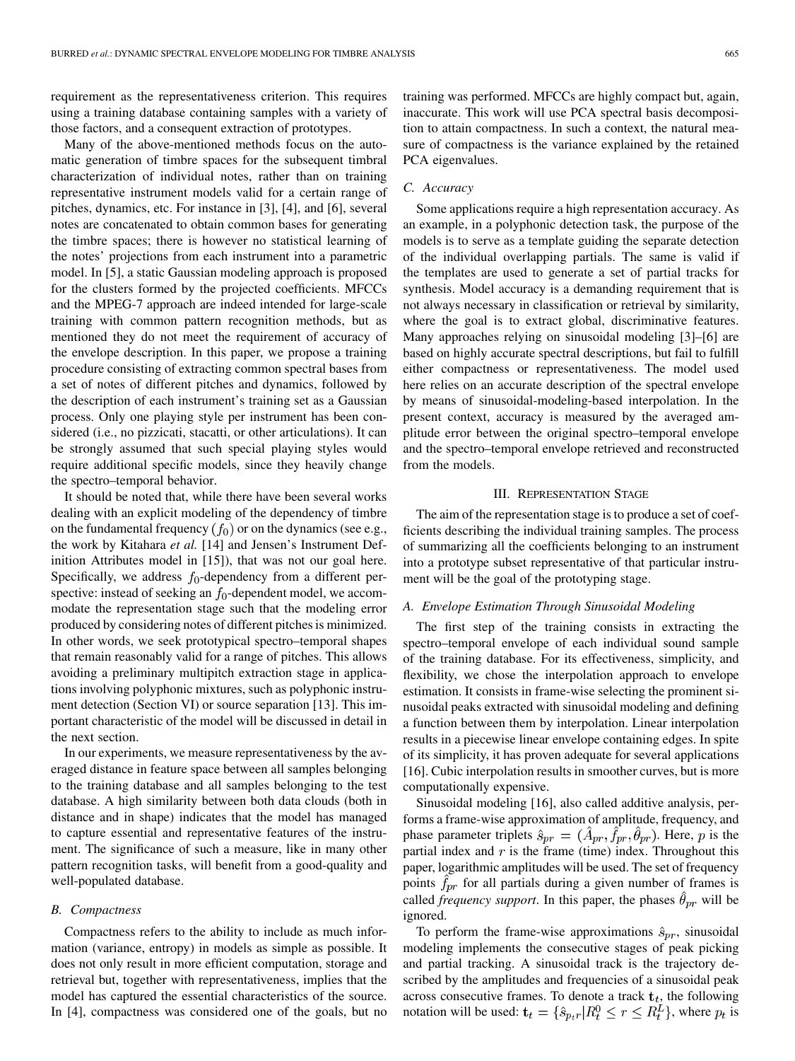requirement as the representativeness criterion. This requires using a training database containing samples with a variety of those factors, and a consequent extraction of prototypes.

Many of the above-mentioned methods focus on the automatic generation of timbre spaces for the subsequent timbral characterization of individual notes, rather than on training representative instrument models valid for a certain range of pitches, dynamics, etc. For instance in [3], [4], and [6], several notes are concatenated to obtain common bases for generating the timbre spaces; there is however no statistical learning of the notes' projections from each instrument into a parametric model. In [5], a static Gaussian modeling approach is proposed for the clusters formed by the projected coefficients. MFCCs and the MPEG-7 approach are indeed intended for large-scale training with common pattern recognition methods, but as mentioned they do not meet the requirement of accuracy of the envelope description. In this paper, we propose a training procedure consisting of extracting common spectral bases from a set of notes of different pitches and dynamics, followed by the description of each instrument's training set as a Gaussian process. Only one playing style per instrument has been considered (i.e., no pizzicati, stacatti, or other articulations). It can be strongly assumed that such special playing styles would require additional specific models, since they heavily change the spectro–temporal behavior.

It should be noted that, while there have been several works dealing with an explicit modeling of the dependency of timbre on the fundamental frequency  $(f_0)$  or on the dynamics (see e.g., the work by Kitahara *et al.* [14] and Jensen's Instrument Definition Attributes model in [15]), that was not our goal here. Specifically, we address  $f_0$ -dependency from a different perspective: instead of seeking an  $f_0$ -dependent model, we accommodate the representation stage such that the modeling error produced by considering notes of different pitches is minimized. In other words, we seek prototypical spectro–temporal shapes that remain reasonably valid for a range of pitches. This allows avoiding a preliminary multipitch extraction stage in applications involving polyphonic mixtures, such as polyphonic instrument detection (Section VI) or source separation [13]. This important characteristic of the model will be discussed in detail in the next section.

In our experiments, we measure representativeness by the averaged distance in feature space between all samples belonging to the training database and all samples belonging to the test database. A high similarity between both data clouds (both in distance and in shape) indicates that the model has managed to capture essential and representative features of the instrument. The significance of such a measure, like in many other pattern recognition tasks, will benefit from a good-quality and well-populated database.

## *B. Compactness*

Compactness refers to the ability to include as much information (variance, entropy) in models as simple as possible. It does not only result in more efficient computation, storage and retrieval but, together with representativeness, implies that the model has captured the essential characteristics of the source. In [4], compactness was considered one of the goals, but no

training was performed. MFCCs are highly compact but, again, inaccurate. This work will use PCA spectral basis decomposition to attain compactness. In such a context, the natural measure of compactness is the variance explained by the retained PCA eigenvalues.

# *C. Accuracy*

Some applications require a high representation accuracy. As an example, in a polyphonic detection task, the purpose of the models is to serve as a template guiding the separate detection of the individual overlapping partials. The same is valid if the templates are used to generate a set of partial tracks for synthesis. Model accuracy is a demanding requirement that is not always necessary in classification or retrieval by similarity, where the goal is to extract global, discriminative features. Many approaches relying on sinusoidal modeling [3]–[6] are based on highly accurate spectral descriptions, but fail to fulfill either compactness or representativeness. The model used here relies on an accurate description of the spectral envelope by means of sinusoidal-modeling-based interpolation. In the present context, accuracy is measured by the averaged amplitude error between the original spectro–temporal envelope and the spectro–temporal envelope retrieved and reconstructed from the models.

## III. REPRESENTATION STAGE

The aim of the representation stage is to produce a set of coefficients describing the individual training samples. The process of summarizing all the coefficients belonging to an instrument into a prototype subset representative of that particular instrument will be the goal of the prototyping stage.

# *A. Envelope Estimation Through Sinusoidal Modeling*

The first step of the training consists in extracting the spectro–temporal envelope of each individual sound sample of the training database. For its effectiveness, simplicity, and flexibility, we chose the interpolation approach to envelope estimation. It consists in frame-wise selecting the prominent sinusoidal peaks extracted with sinusoidal modeling and defining a function between them by interpolation. Linear interpolation results in a piecewise linear envelope containing edges. In spite of its simplicity, it has proven adequate for several applications [16]. Cubic interpolation results in smoother curves, but is more computationally expensive.

Sinusoidal modeling [16], also called additive analysis, performs a frame-wise approximation of amplitude, frequency, and phase parameter triplets  $\hat{s}_{pr} = (\hat{A}_{pr}, \hat{f}_{pr}, \hat{\theta}_{pr})$ . Here, p is the partial index and  $r$  is the frame (time) index. Throughout this paper, logarithmic amplitudes will be used. The set of frequency points  $f_{pr}$  for all partials during a given number of frames is called *frequency support*. In this paper, the phases  $\hat{\theta}_{pr}$  will be ignored.

To perform the frame-wise approximations  $\hat{s}_{pr}$ , sinusoidal modeling implements the consecutive stages of peak picking and partial tracking. A sinusoidal track is the trajectory described by the amplitudes and frequencies of a sinusoidal peak across consecutive frames. To denote a track  $t_t$ , the following notation will be used:  $\mathbf{t}_t = \{\hat{s}_{p_t r} | R_t^0 \le r \le R_t^L\}$ , where  $p_t$  is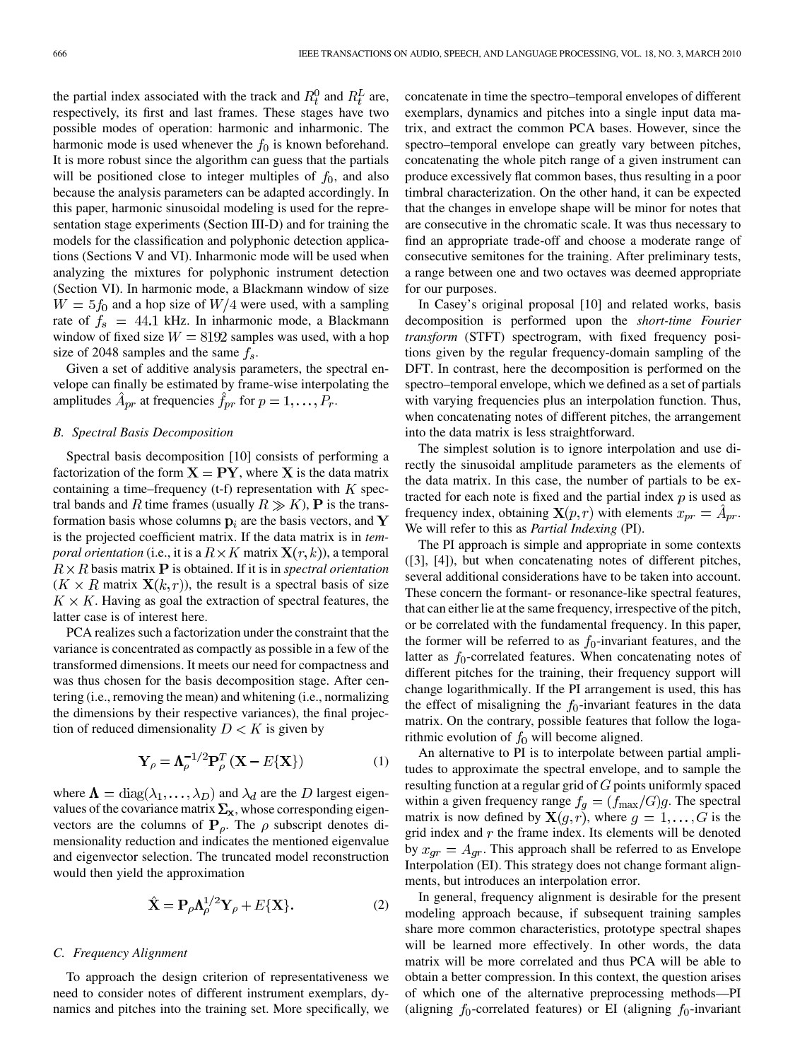the partial index associated with the track and  $R_t^0$  and  $R_t^L$  are, respectively, its first and last frames. These stages have two possible modes of operation: harmonic and inharmonic. The harmonic mode is used whenever the  $f_0$  is known beforehand. It is more robust since the algorithm can guess that the partials will be positioned close to integer multiples of  $f_0$ , and also because the analysis parameters can be adapted accordingly. In this paper, harmonic sinusoidal modeling is used for the representation stage experiments (Section III-D) and for training the models for the classification and polyphonic detection applications (Sections V and VI). Inharmonic mode will be used when analyzing the mixtures for polyphonic instrument detection (Section VI). In harmonic mode, a Blackmann window of size  $W = 5f_0$  and a hop size of  $W/4$  were used, with a sampling rate of  $f_s = 44.1$  kHz. In inharmonic mode, a Blackmann window of fixed size  $W = 8192$  samples was used, with a hop size of 2048 samples and the same  $f_s$ .

Given a set of additive analysis parameters, the spectral envelope can finally be estimated by frame-wise interpolating the amplitudes  $\hat{A}_{pr}$  at frequencies  $\hat{f}_{pr}$  for  $p = 1, \ldots, P_r$ .

# *B. Spectral Basis Decomposition*

Spectral basis decomposition [10] consists of performing a factorization of the form  $X = PY$ , where X is the data matrix containing a time–frequency (t-f) representation with  $K$  spectral bands and R time frames (usually  $R \gg K$ ), P is the transformation basis whose columns  $p_i$  are the basis vectors, and Y is the projected coefficient matrix. If the data matrix is in *temporal orientation* (i.e., it is a  $R \times K$  matrix  $\mathbf{X}(r, k)$ ), a temporal  $R \times R$  basis matrix **P** is obtained. If it is in *spectral orientation*  $(K \times R$  matrix  $\mathbf{X}(k,r)$ , the result is a spectral basis of size  $K \times K$ . Having as goal the extraction of spectral features, the latter case is of interest here.

PCA realizes such a factorization under the constraint that the variance is concentrated as compactly as possible in a few of the transformed dimensions. It meets our need for compactness and was thus chosen for the basis decomposition stage. After centering (i.e., removing the mean) and whitening (i.e., normalizing the dimensions by their respective variances), the final projection of reduced dimensionality  $D < K$  is given by

$$
\mathbf{Y}_{\rho} = \mathbf{\Lambda}_{\rho}^{-1/2} \mathbf{P}_{\rho}^{T} \left( \mathbf{X} - E \{ \mathbf{X} \} \right)
$$
 (1)

where  $\Lambda = \text{diag}(\lambda_1, \dots, \lambda_D)$  and  $\lambda_d$  are the D largest eigenvalues of the covariance matrix  $\Sigma_{\rm x}$ , whose corresponding eigenvectors are the columns of  $P_\rho$ . The  $\rho$  subscript denotes dimensionality reduction and indicates the mentioned eigenvalue and eigenvector selection. The truncated model reconstruction would then yield the approximation

$$
\hat{\mathbf{X}} = \mathbf{P}_{\rho} \mathbf{\Lambda}_{\rho}^{1/2} \mathbf{Y}_{\rho} + E\{\mathbf{X}\}.
$$
 (2)

## *C. Frequency Alignment*

To approach the design criterion of representativeness we need to consider notes of different instrument exemplars, dynamics and pitches into the training set. More specifically, we concatenate in time the spectro–temporal envelopes of different exemplars, dynamics and pitches into a single input data matrix, and extract the common PCA bases. However, since the spectro–temporal envelope can greatly vary between pitches, concatenating the whole pitch range of a given instrument can produce excessively flat common bases, thus resulting in a poor timbral characterization. On the other hand, it can be expected that the changes in envelope shape will be minor for notes that are consecutive in the chromatic scale. It was thus necessary to find an appropriate trade-off and choose a moderate range of consecutive semitones for the training. After preliminary tests, a range between one and two octaves was deemed appropriate for our purposes.

In Casey's original proposal [10] and related works, basis decomposition is performed upon the *short-time Fourier transform* (STFT) spectrogram, with fixed frequency positions given by the regular frequency-domain sampling of the DFT. In contrast, here the decomposition is performed on the spectro–temporal envelope, which we defined as a set of partials with varying frequencies plus an interpolation function. Thus, when concatenating notes of different pitches, the arrangement into the data matrix is less straightforward.

The simplest solution is to ignore interpolation and use directly the sinusoidal amplitude parameters as the elements of the data matrix. In this case, the number of partials to be extracted for each note is fixed and the partial index  $p$  is used as frequency index, obtaining  $\mathbf{X}(p,r)$  with elements  $x_{pr} = A_{pr}$ . We will refer to this as *Partial Indexing* (PI).

The PI approach is simple and appropriate in some contexts ([3], [4]), but when concatenating notes of different pitches, several additional considerations have to be taken into account. These concern the formant- or resonance-like spectral features, that can either lie at the same frequency, irrespective of the pitch, or be correlated with the fundamental frequency. In this paper, the former will be referred to as  $f_0$ -invariant features, and the latter as  $f_0$ -correlated features. When concatenating notes of different pitches for the training, their frequency support will change logarithmically. If the PI arrangement is used, this has the effect of misaligning the  $f_0$ -invariant features in the data matrix. On the contrary, possible features that follow the logarithmic evolution of  $f_0$  will become aligned.

An alternative to PI is to interpolate between partial amplitudes to approximate the spectral envelope, and to sample the resulting function at a regular grid of  $G$  points uniformly spaced within a given frequency range  $f_g = (f_{\text{max}}/G)g$ . The spectral matrix is now defined by  $X(g, r)$ , where  $g = 1, ..., G$  is the grid index and  $r$  the frame index. Its elements will be denoted by  $x_{qr} = A_{qr}$ . This approach shall be referred to as Envelope Interpolation (EI). This strategy does not change formant alignments, but introduces an interpolation error.

In general, frequency alignment is desirable for the present modeling approach because, if subsequent training samples share more common characteristics, prototype spectral shapes will be learned more effectively. In other words, the data matrix will be more correlated and thus PCA will be able to obtain a better compression. In this context, the question arises of which one of the alternative preprocessing methods—PI (aligning  $f_0$ -correlated features) or EI (aligning  $f_0$ -invariant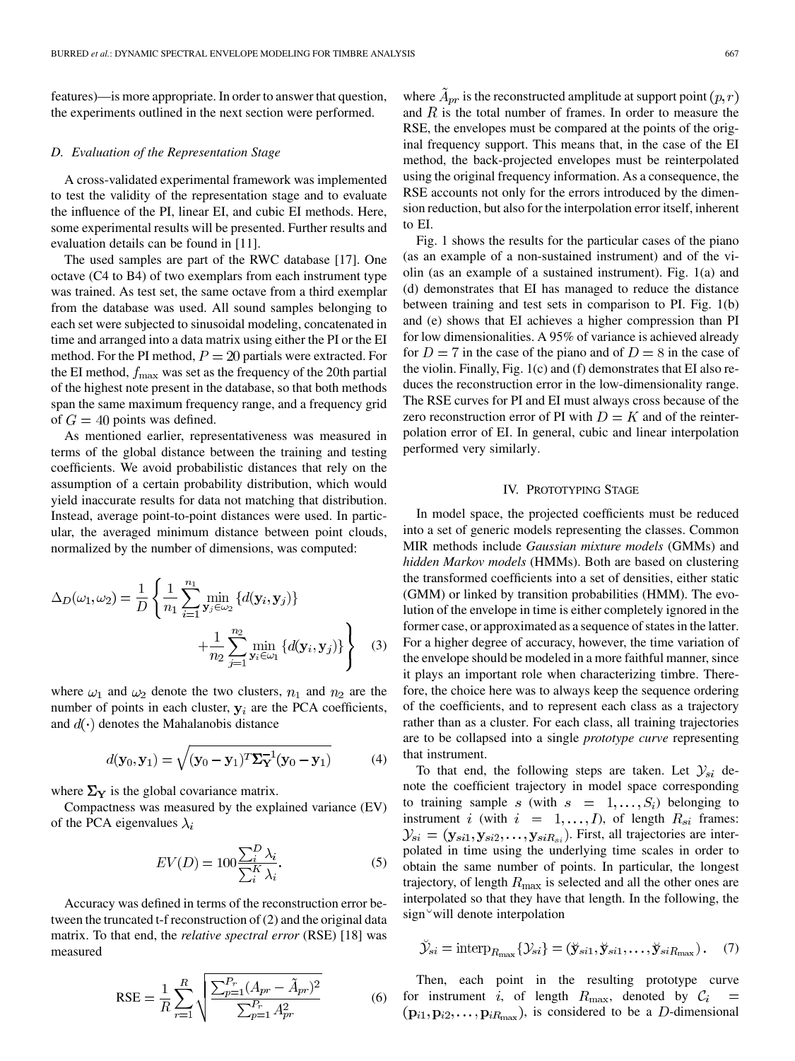features)—is more appropriate. In order to answer that question, the experiments outlined in the next section were performed.

# *D. Evaluation of the Representation Stage*

A cross-validated experimental framework was implemented to test the validity of the representation stage and to evaluate the influence of the PI, linear EI, and cubic EI methods. Here, some experimental results will be presented. Further results and evaluation details can be found in [11].

The used samples are part of the RWC database [17]. One octave (C4 to B4) of two exemplars from each instrument type was trained. As test set, the same octave from a third exemplar from the database was used. All sound samples belonging to each set were subjected to sinusoidal modeling, concatenated in time and arranged into a data matrix using either the PI or the EI method. For the PI method,  $P = 20$  partials were extracted. For the EI method,  $f_{\text{max}}$  was set as the frequency of the 20th partial of the highest note present in the database, so that both methods span the same maximum frequency range, and a frequency grid of  $G = 40$  points was defined.

As mentioned earlier, representativeness was measured in terms of the global distance between the training and testing coefficients. We avoid probabilistic distances that rely on the assumption of a certain probability distribution, which would yield inaccurate results for data not matching that distribution. Instead, average point-to-point distances were used. In particular, the averaged minimum distance between point clouds, normalized by the number of dimensions, was computed:

$$
\Delta_D(\omega_1, \omega_2) = \frac{1}{D} \left\{ \frac{1}{n_1} \sum_{i=1}^{n_1} \min_{\mathbf{y}_j \in \omega_2} \{ d(\mathbf{y}_i, \mathbf{y}_j) \} + \frac{1}{n_2} \sum_{j=1}^{n_2} \min_{\mathbf{y}_i \in \omega_1} \{ d(\mathbf{y}_i, \mathbf{y}_j) \} \right\}
$$
(3)

where  $\omega_1$  and  $\omega_2$  denote the two clusters,  $n_1$  and  $n_2$  are the number of points in each cluster,  $y_i$  are the PCA coefficients, and  $d(\cdot)$  denotes the Mahalanobis distance

$$
d(\mathbf{y}_0, \mathbf{y}_1) = \sqrt{(\mathbf{y}_0 - \mathbf{y}_1)^T \mathbf{\Sigma}_\mathbf{Y}^{-1} (\mathbf{y}_0 - \mathbf{y}_1)}
$$
(4)

where  $\Sigma_Y$  is the global covariance matrix.

Compactness was measured by the explained variance (EV) of the PCA eigenvalues  $\lambda_i$ 

$$
EV(D) = 100 \frac{\sum_{i}^{D} \lambda_{i}}{\sum_{i}^{K} \lambda_{i}}.
$$
 (5)

Accuracy was defined in terms of the reconstruction error between the truncated t-f reconstruction of (2) and the original data matrix. To that end, the *relative spectral error* (RSE) [18] was measured

$$
RSE = \frac{1}{R} \sum_{r=1}^{R} \sqrt{\frac{\sum_{p=1}^{P_r} (A_{pr} - \tilde{A}_{pr})^2}{\sum_{p=1}^{P_r} A_{pr}^2}}
$$
(6)

where  $\hat{A}_{pr}$  is the reconstructed amplitude at support point  $(p, r)$ and  $R$  is the total number of frames. In order to measure the RSE, the envelopes must be compared at the points of the original frequency support. This means that, in the case of the EI method, the back-projected envelopes must be reinterpolated using the original frequency information. As a consequence, the RSE accounts not only for the errors introduced by the dimension reduction, but also for the interpolation error itself, inherent to EI.

Fig. 1 shows the results for the particular cases of the piano (as an example of a non-sustained instrument) and of the violin (as an example of a sustained instrument). Fig. 1(a) and (d) demonstrates that EI has managed to reduce the distance between training and test sets in comparison to PI. Fig. 1(b) and (e) shows that EI achieves a higher compression than PI for low dimensionalities. A 95% of variance is achieved already for  $D = 7$  in the case of the piano and of  $D = 8$  in the case of the violin. Finally, Fig. 1(c) and (f) demonstrates that EI also reduces the reconstruction error in the low-dimensionality range. The RSE curves for PI and EI must always cross because of the zero reconstruction error of PI with  $D = K$  and of the reinterpolation error of EI. In general, cubic and linear interpolation performed very similarly.

#### IV. PROTOTYPING STAGE

In model space, the projected coefficients must be reduced into a set of generic models representing the classes. Common MIR methods include *Gaussian mixture models* (GMMs) and *hidden Markov models* (HMMs). Both are based on clustering the transformed coefficients into a set of densities, either static (GMM) or linked by transition probabilities (HMM). The evolution of the envelope in time is either completely ignored in the former case, or approximated as a sequence of states in the latter. For a higher degree of accuracy, however, the time variation of the envelope should be modeled in a more faithful manner, since it plays an important role when characterizing timbre. Therefore, the choice here was to always keep the sequence ordering of the coefficients, and to represent each class as a trajectory rather than as a cluster. For each class, all training trajectories are to be collapsed into a single *prototype curve* representing that instrument.

To that end, the following steps are taken. Let  $\mathcal{Y}_{si}$  denote the coefficient trajectory in model space corresponding to training sample s (with  $s = 1, \ldots, S_i$ ) belonging to instrument i (with  $i = 1, ..., I$ ), of length  $R_{si}$  frames:  $\mathcal{Y}_{si} = (\mathbf{y}_{si1}, \mathbf{y}_{si2}, \dots, \mathbf{y}_{siR_{si}})$ . First, all trajectories are interpolated in time using the underlying time scales in order to obtain the same number of points. In particular, the longest trajectory, of length  $R_{\text{max}}$  is selected and all the other ones are interpolated so that they have that length. In the following, the sign will denote interpolation

$$
\widetilde{\mathcal{Y}}_{si} = \text{inter}_{R_{\text{max}}} \{ \mathcal{Y}_{si} \} = (\mathbf{\widetilde{y}}_{si1}, \mathbf{\widetilde{y}}_{si1}, \dots, \mathbf{\widetilde{y}}_{siR_{\text{max}}} ). \tag{7}
$$

Then, each point in the resulting prototype curve for instrument  $\overline{i}$ , of length  $R_{\text{max}}$ , denoted by  $C_i$  =  $(p_{i1}, p_{i2}, \ldots, p_{iR_{\text{max}}})$ , is considered to be a D-dimensional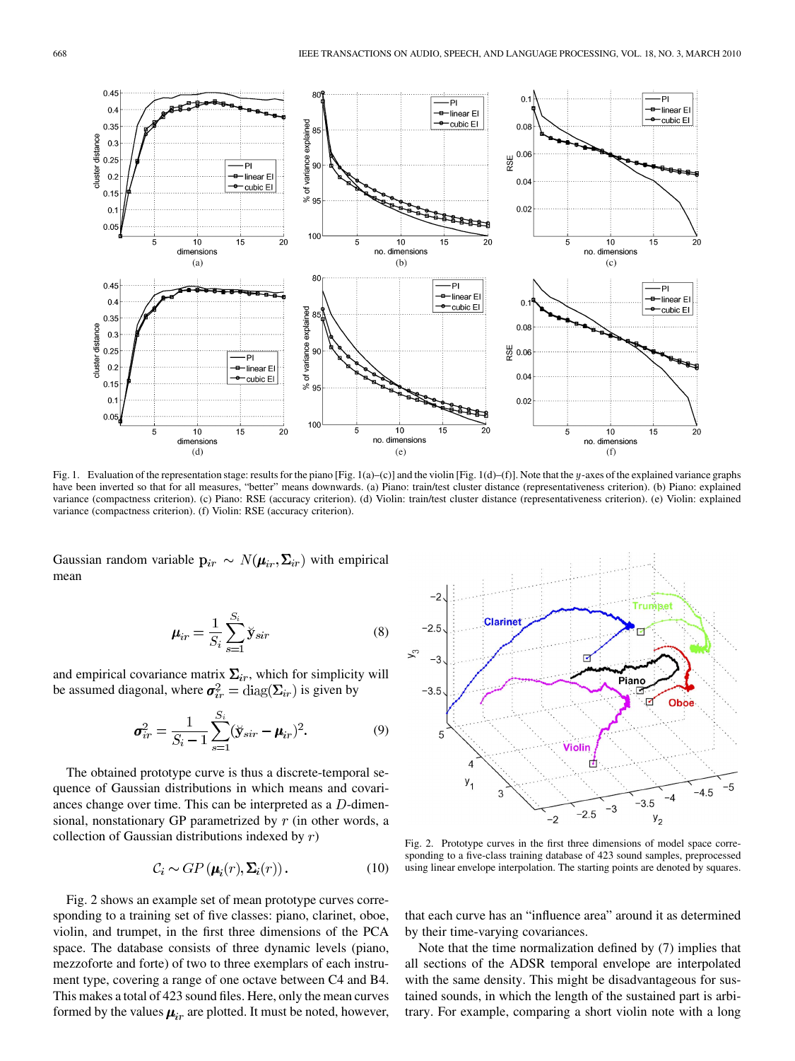

Fig. 1. Evaluation of the representation stage: results for the piano [Fig. 1(a)–(c)] and the violin [Fig. 1(d)–(f)]. Note that the y-axes of the explained variance graphs have been inverted so that for all measures, "better" means downwards. (a) Piano: train/test cluster distance (representativeness criterion). (b) Piano: explained variance (compactness criterion). (c) Piano: RSE (accuracy criterion). (d) Violin: train/test cluster distance (representativeness criterion). (e) Violin: explained variance (compactness criterion). (f) Violin: RSE (accuracy criterion).

Gaussian random variable  $\mathbf{p}_{ir} \sim N(\boldsymbol{\mu}_{ir}, \boldsymbol{\Sigma}_{ir})$  with empirical mean

$$
\mu_{ir} = \frac{1}{S_i} \sum_{s=1}^{S_i} \breve{\mathbf{y}}_{sir} \tag{8}
$$

and empirical covariance matrix  $\Sigma_{ir}$ , which for simplicity will be assumed diagonal, where  $\sigma_{ir}^2 = \text{diag}(\Sigma_{ir})$  is given by

$$
\sigma_{ir}^2 = \frac{1}{S_i - 1} \sum_{s=1}^{S_i} (\breve{\mathbf{y}}_{sir} - \boldsymbol{\mu}_{ir})^2.
$$
 (9)

The obtained prototype curve is thus a discrete-temporal sequence of Gaussian distributions in which means and covariances change over time. This can be interpreted as a  $D$ -dimensional, nonstationary GP parametrized by  $r$  (in other words, a collection of Gaussian distributions indexed by  $r$ )

$$
\mathcal{C}_i \sim GP\left(\mu_i(r), \Sigma_i(r)\right). \tag{10}
$$

Fig. 2 shows an example set of mean prototype curves corresponding to a training set of five classes: piano, clarinet, oboe, violin, and trumpet, in the first three dimensions of the PCA space. The database consists of three dynamic levels (piano, mezzoforte and forte) of two to three exemplars of each instrument type, covering a range of one octave between C4 and B4. This makes a total of 423 sound files. Here, only the mean curves formed by the values  $\mu_{ir}$  are plotted. It must be noted, however,



Fig. 2. Prototype curves in the first three dimensions of model space corresponding to a five-class training database of 423 sound samples, preprocessed using linear envelope interpolation. The starting points are denoted by squares.

that each curve has an "influence area" around it as determined by their time-varying covariances.

Note that the time normalization defined by (7) implies that all sections of the ADSR temporal envelope are interpolated with the same density. This might be disadvantageous for sustained sounds, in which the length of the sustained part is arbitrary. For example, comparing a short violin note with a long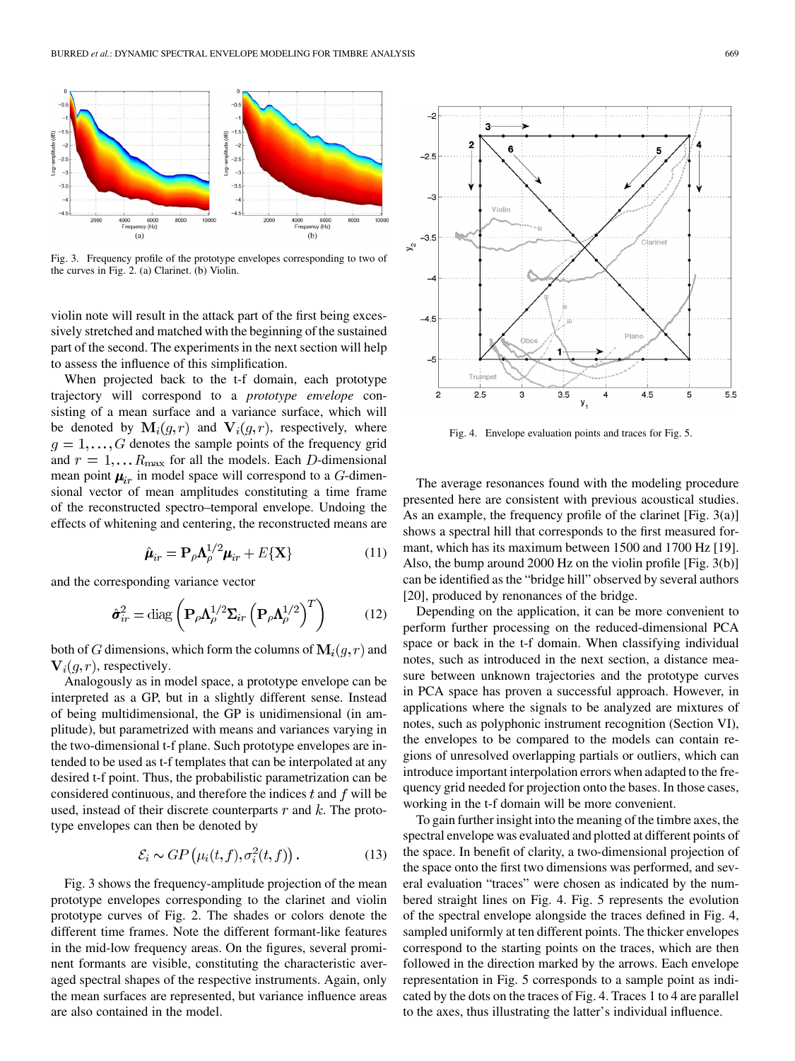

Fig. 3. Frequency profile of the prototype envelopes corresponding to two of the curves in Fig. 2. (a) Clarinet. (b) Violin.

violin note will result in the attack part of the first being excessively stretched and matched with the beginning of the sustained part of the second. The experiments in the next section will help to assess the influence of this simplification.

When projected back to the t-f domain, each prototype trajectory will correspond to a *prototype envelope* consisting of a mean surface and a variance surface, which will be denoted by  $\mathbf{M}_i(q,r)$  and  $\mathbf{V}_i(q,r)$ , respectively, where  $q = 1, \ldots, G$  denotes the sample points of the frequency grid and  $r = 1, \dots R_{\text{max}}$  for all the models. Each D-dimensional mean point  $\mu_{ir}$  in model space will correspond to a G-dimensional vector of mean amplitudes constituting a time frame of the reconstructed spectro–temporal envelope. Undoing the effects of whitening and centering, the reconstructed means are

$$
\hat{\mu}_{ir} = \mathbf{P}_{\rho} \Lambda_{\rho}^{1/2} \mu_{ir} + E\{\mathbf{X}\}
$$
 (11)

and the corresponding variance vector

$$
\hat{\sigma}_{ir}^2 = \text{diag}\left(\mathbf{P}_{\rho}\mathbf{\Lambda}_{\rho}^{1/2}\mathbf{\Sigma}_{ir}\left(\mathbf{P}_{\rho}\mathbf{\Lambda}_{\rho}^{1/2}\right)^T\right) \tag{12}
$$

both of G dimensions, which form the columns of  $\mathbf{M}_i(q, r)$  and  $V_i(q, r)$ , respectively.

Analogously as in model space, a prototype envelope can be interpreted as a GP, but in a slightly different sense. Instead of being multidimensional, the GP is unidimensional (in amplitude), but parametrized with means and variances varying in the two-dimensional t-f plane. Such prototype envelopes are intended to be used as t-f templates that can be interpolated at any desired t-f point. Thus, the probabilistic parametrization can be considered continuous, and therefore the indices  $t$  and  $f$  will be used, instead of their discrete counterparts  $r$  and  $k$ . The prototype envelopes can then be denoted by

$$
\mathcal{E}_i \sim GP\left(\mu_i(t, f), \sigma_i^2(t, f)\right). \tag{13}
$$

Fig. 3 shows the frequency-amplitude projection of the mean prototype envelopes corresponding to the clarinet and violin prototype curves of Fig. 2. The shades or colors denote the different time frames. Note the different formant-like features in the mid-low frequency areas. On the figures, several prominent formants are visible, constituting the characteristic averaged spectral shapes of the respective instruments. Again, only the mean surfaces are represented, but variance influence areas are also contained in the model.



Fig. 4. Envelope evaluation points and traces for Fig. 5.

The average resonances found with the modeling procedure presented here are consistent with previous acoustical studies. As an example, the frequency profile of the clarinet [Fig. 3(a)] shows a spectral hill that corresponds to the first measured formant, which has its maximum between 1500 and 1700 Hz [19]. Also, the bump around 2000 Hz on the violin profile [Fig. 3(b)] can be identified as the "bridge hill" observed by several authors [20], produced by renonances of the bridge.

Depending on the application, it can be more convenient to perform further processing on the reduced-dimensional PCA space or back in the t-f domain. When classifying individual notes, such as introduced in the next section, a distance measure between unknown trajectories and the prototype curves in PCA space has proven a successful approach. However, in applications where the signals to be analyzed are mixtures of notes, such as polyphonic instrument recognition (Section VI), the envelopes to be compared to the models can contain regions of unresolved overlapping partials or outliers, which can introduce important interpolation errors when adapted to the frequency grid needed for projection onto the bases. In those cases, working in the t-f domain will be more convenient.

To gain further insight into the meaning of the timbre axes, the spectral envelope was evaluated and plotted at different points of the space. In benefit of clarity, a two-dimensional projection of the space onto the first two dimensions was performed, and several evaluation "traces" were chosen as indicated by the numbered straight lines on Fig. 4. Fig. 5 represents the evolution of the spectral envelope alongside the traces defined in Fig. 4, sampled uniformly at ten different points. The thicker envelopes correspond to the starting points on the traces, which are then followed in the direction marked by the arrows. Each envelope representation in Fig. 5 corresponds to a sample point as indicated by the dots on the traces of Fig. 4. Traces 1 to 4 are parallel to the axes, thus illustrating the latter's individual influence.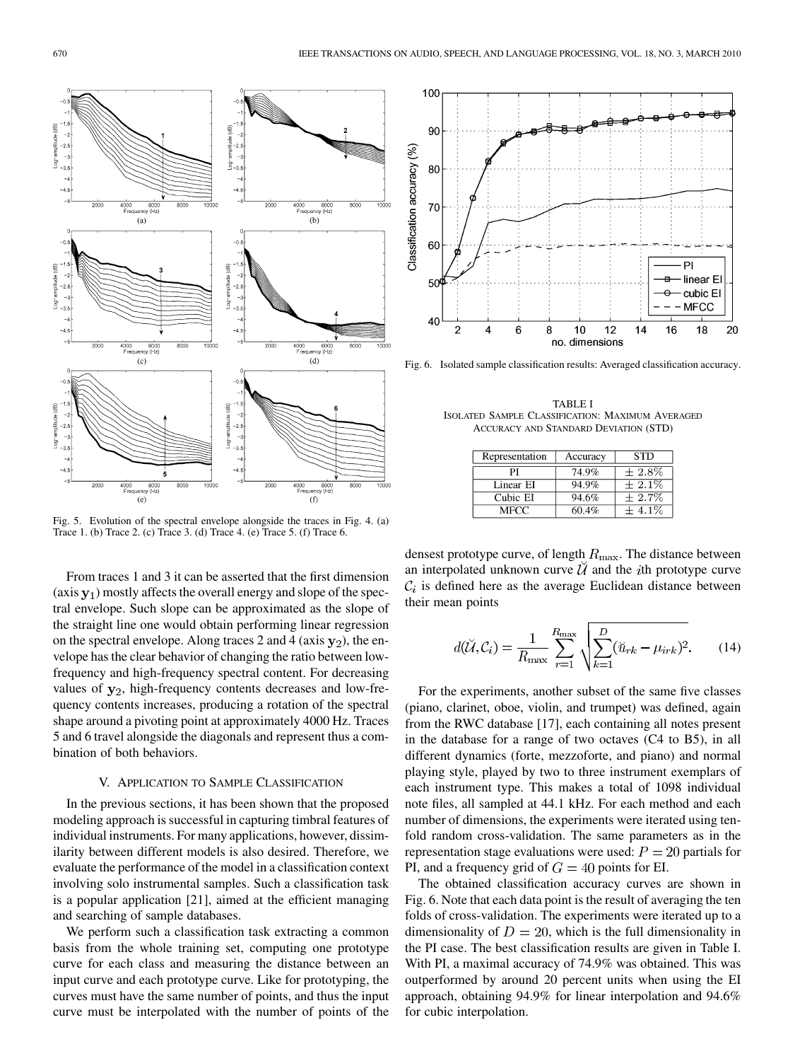

Fig. 5. Evolution of the spectral envelope alongside the traces in Fig. 4. (a) Trace 1. (b) Trace 2. (c) Trace 3. (d) Trace 4. (e) Trace 5. (f) Trace 6.

From traces 1 and 3 it can be asserted that the first dimension (axis  $y_1$ ) mostly affects the overall energy and slope of the spectral envelope. Such slope can be approximated as the slope of the straight line one would obtain performing linear regression on the spectral envelope. Along traces 2 and 4 (axis  $y_2$ ), the envelope has the clear behavior of changing the ratio between lowfrequency and high-frequency spectral content. For decreasing values of  $y_2$ , high-frequency contents decreases and low-frequency contents increases, producing a rotation of the spectral shape around a pivoting point at approximately 4000 Hz. Traces 5 and 6 travel alongside the diagonals and represent thus a combination of both behaviors.

# V. APPLICATION TO SAMPLE CLASSIFICATION

In the previous sections, it has been shown that the proposed modeling approach is successful in capturing timbral features of individual instruments. For many applications, however, dissimilarity between different models is also desired. Therefore, we evaluate the performance of the model in a classification context involving solo instrumental samples. Such a classification task is a popular application [21], aimed at the efficient managing and searching of sample databases.

We perform such a classification task extracting a common basis from the whole training set, computing one prototype curve for each class and measuring the distance between an input curve and each prototype curve. Like for prototyping, the curves must have the same number of points, and thus the input curve must be interpolated with the number of points of the



Fig. 6. Isolated sample classification results: Averaged classification accuracy.

TABLE I ISOLATED SAMPLE CLASSIFICATION: MAXIMUM AVERAGED ACCURACY AND STANDARD DEVIATION (STD)

| Representation | Accuracy | <b>STD</b>  |  |
|----------------|----------|-------------|--|
| РI             | 74 9%    | $+2.8\%$    |  |
| Linear EI      | 94.9%    | $\pm 2.1\%$ |  |
| Cubic EI       | 94.6%    | $+2.7\%$    |  |
| MFCC           | 60.4%    | $+4.1\%$    |  |

densest prototype curve, of length  $R_{\text{max}}$ . The distance between an interpolated unknown curve  $\tilde{U}$  and the *i*th prototype curve  $\mathcal{C}_i$  is defined here as the average Euclidean distance between their mean points

$$
d(\breve{U}, C_i) = \frac{1}{R_{\text{max}}} \sum_{r=1}^{R_{\text{max}}} \sqrt{\sum_{k=1}^{D} (\breve{u}_{rk} - \mu_{irk})^2}.
$$
 (14)

For the experiments, another subset of the same five classes (piano, clarinet, oboe, violin, and trumpet) was defined, again from the RWC database [17], each containing all notes present in the database for a range of two octaves (C4 to B5), in all different dynamics (forte, mezzoforte, and piano) and normal playing style, played by two to three instrument exemplars of each instrument type. This makes a total of 1098 individual note files, all sampled at 44.1 kHz. For each method and each number of dimensions, the experiments were iterated using tenfold random cross-validation. The same parameters as in the representation stage evaluations were used:  $P = 20$  partials for PI, and a frequency grid of  $G = 40$  points for EI.

The obtained classification accuracy curves are shown in Fig. 6. Note that each data point is the result of averaging the ten folds of cross-validation. The experiments were iterated up to a dimensionality of  $D = 20$ , which is the full dimensionality in the PI case. The best classification results are given in Table I. With PI, a maximal accuracy of 74.9% was obtained. This was outperformed by around 20 percent units when using the EI approach, obtaining 94.9% for linear interpolation and 94.6% for cubic interpolation.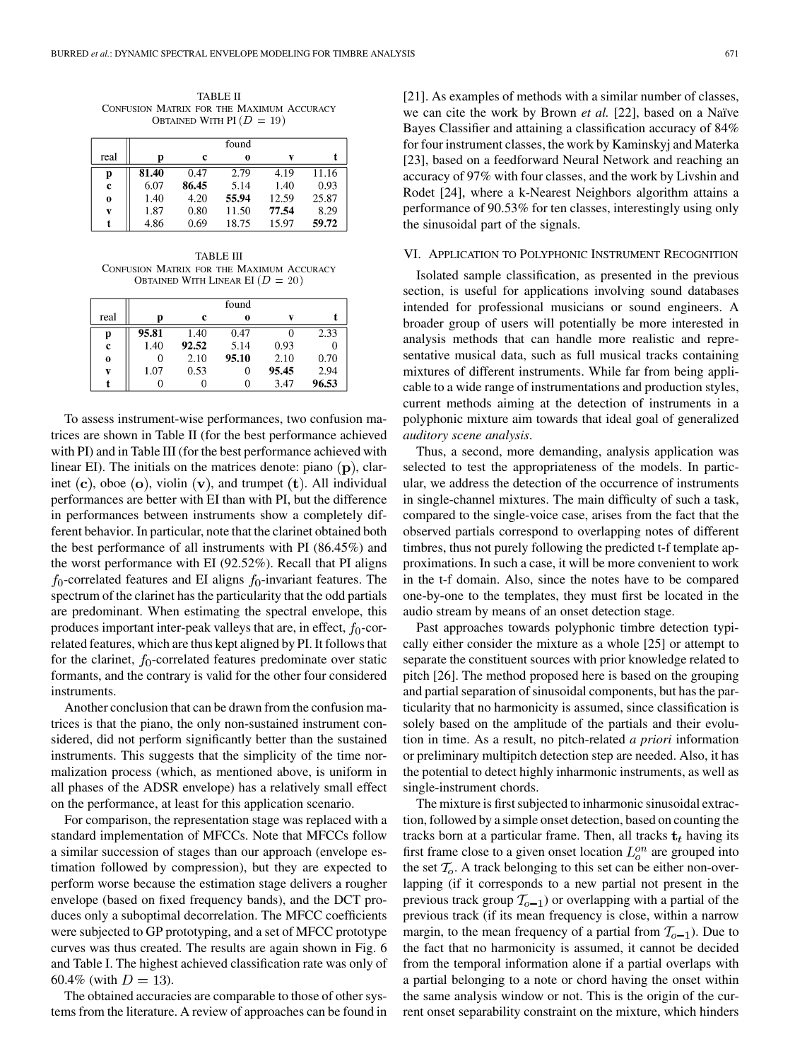TABLE II CONFUSION MATRIX FOR THE MAXIMUM ACCURACY OBTAINED WITH PI  $(D = 19)$ 

|          | found |       |       |       |       |  |
|----------|-------|-------|-------|-------|-------|--|
| real     | Ŋ     | c     | 0     | v     |       |  |
| р        | 81.40 | 0.47  | 2.79  | 4.19  | 11.16 |  |
| c        | 6.07  | 86.45 | 5.14  | 1.40  | 0.93  |  |
| $\bf{0}$ | 1.40  | 4.20  | 55.94 | 12.59 | 25.87 |  |
| v        | 1.87  | 0.80  | 11.50 | 77.54 | 8.29  |  |
|          | 4.86  | 0.69  | 18.75 | 15.97 | 59.72 |  |

TABLE III CONFUSION MATRIX FOR THE MAXIMUM ACCURACY OBTAINED WITH LINEAR EI  $(D = 20)$ 

|          | found |       |       |       |       |  |
|----------|-------|-------|-------|-------|-------|--|
| real     | D     | c     | 0     | v     |       |  |
| р        | 95.81 | 1.40  | 0.47  |       | 2.33  |  |
| c        | 1.40  | 92.52 | 5.14  | 0.93  |       |  |
| $\bf{o}$ |       | 2.10  | 95.10 | 2.10  | 0.70  |  |
| v        | 1.07  | 0.53  |       | 95.45 | 2.94  |  |
|          |       |       |       | 3.47  | 96.53 |  |

To assess instrument-wise performances, two confusion matrices are shown in Table II (for the best performance achieved with PI) and in Table III (for the best performance achieved with linear EI). The initials on the matrices denote: piano  $(p)$ , clarinet  $(c)$ , oboe  $(o)$ , violin  $(v)$ , and trumpet  $(t)$ . All individual performances are better with EI than with PI, but the difference in performances between instruments show a completely different behavior. In particular, note that the clarinet obtained both the best performance of all instruments with PI (86.45%) and the worst performance with EI (92.52%). Recall that PI aligns  $f_0$ -correlated features and EI aligns  $f_0$ -invariant features. The spectrum of the clarinet has the particularity that the odd partials are predominant. When estimating the spectral envelope, this produces important inter-peak valleys that are, in effect,  $f_0$ -correlated features, which are thus kept aligned by PI. It follows that for the clarinet,  $f_0$ -correlated features predominate over static formants, and the contrary is valid for the other four considered instruments.

Another conclusion that can be drawn from the confusion matrices is that the piano, the only non-sustained instrument considered, did not perform significantly better than the sustained instruments. This suggests that the simplicity of the time normalization process (which, as mentioned above, is uniform in all phases of the ADSR envelope) has a relatively small effect on the performance, at least for this application scenario.

For comparison, the representation stage was replaced with a standard implementation of MFCCs. Note that MFCCs follow a similar succession of stages than our approach (envelope estimation followed by compression), but they are expected to perform worse because the estimation stage delivers a rougher envelope (based on fixed frequency bands), and the DCT produces only a suboptimal decorrelation. The MFCC coefficients were subjected to GP prototyping, and a set of MFCC prototype curves was thus created. The results are again shown in Fig. 6 and Table I. The highest achieved classification rate was only of 60.4% (with  $D = 13$ ).

The obtained accuracies are comparable to those of other systems from the literature. A review of approaches can be found in [21]. As examples of methods with a similar number of classes, we can cite the work by Brown *et al.* [22], based on a Naïve Bayes Classifier and attaining a classification accuracy of 84% for four instrument classes, the work by Kaminskyj and Materka [23], based on a feedforward Neural Network and reaching an accuracy of 97% with four classes, and the work by Livshin and Rodet [24], where a k-Nearest Neighbors algorithm attains a performance of 90.53% for ten classes, interestingly using only the sinusoidal part of the signals.

#### VI. APPLICATION TO POLYPHONIC INSTRUMENT RECOGNITION

Isolated sample classification, as presented in the previous section, is useful for applications involving sound databases intended for professional musicians or sound engineers. A broader group of users will potentially be more interested in analysis methods that can handle more realistic and representative musical data, such as full musical tracks containing mixtures of different instruments. While far from being applicable to a wide range of instrumentations and production styles, current methods aiming at the detection of instruments in a polyphonic mixture aim towards that ideal goal of generalized *auditory scene analysis*.

Thus, a second, more demanding, analysis application was selected to test the appropriateness of the models. In particular, we address the detection of the occurrence of instruments in single-channel mixtures. The main difficulty of such a task, compared to the single-voice case, arises from the fact that the observed partials correspond to overlapping notes of different timbres, thus not purely following the predicted t-f template approximations. In such a case, it will be more convenient to work in the t-f domain. Also, since the notes have to be compared one-by-one to the templates, they must first be located in the audio stream by means of an onset detection stage.

Past approaches towards polyphonic timbre detection typically either consider the mixture as a whole [25] or attempt to separate the constituent sources with prior knowledge related to pitch [26]. The method proposed here is based on the grouping and partial separation of sinusoidal components, but has the particularity that no harmonicity is assumed, since classification is solely based on the amplitude of the partials and their evolution in time. As a result, no pitch-related *a priori* information or preliminary multipitch detection step are needed. Also, it has the potential to detect highly inharmonic instruments, as well as single-instrument chords.

The mixture is first subjected to inharmonic sinusoidal extraction, followed by a simple onset detection, based on counting the tracks born at a particular frame. Then, all tracks  $t_t$  having its first frame close to a given onset location  $L_0^{on}$  are grouped into the set  $\mathcal{T}_o$ . A track belonging to this set can be either non-overlapping (if it corresponds to a new partial not present in the previous track group  $\mathcal{T}_{o-1}$  or overlapping with a partial of the previous track (if its mean frequency is close, within a narrow margin, to the mean frequency of a partial from  $T_{o-1}$ ). Due to the fact that no harmonicity is assumed, it cannot be decided from the temporal information alone if a partial overlaps with a partial belonging to a note or chord having the onset within the same analysis window or not. This is the origin of the current onset separability constraint on the mixture, which hinders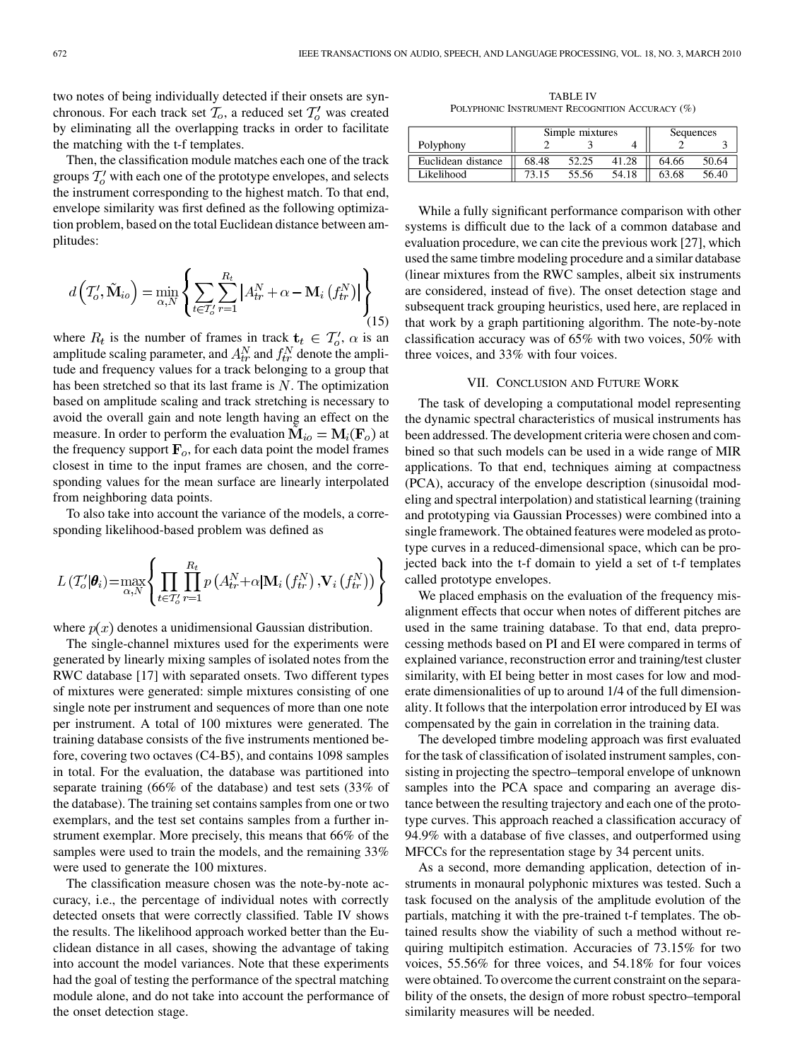two notes of being individually detected if their onsets are synchronous. For each track set  $\mathcal{T}_o$ , a reduced set  $\mathcal{T}'_o$  was created by eliminating all the overlapping tracks in order to facilitate the matching with the t-f templates.

Then, the classification module matches each one of the track groups  $T'_o$  with each one of the prototype envelopes, and selects the instrument corresponding to the highest match. To that end, envelope similarity was first defined as the following optimization problem, based on the total Euclidean distance between amplitudes:

$$
d\left(\mathcal{T}'_o, \tilde{\mathbf{M}}_{io}\right) = \min_{\alpha, N} \left\{ \sum_{t \in \mathcal{T}'_o} \sum_{r=1}^{R_t} \left| A_{tr}^N + \alpha - \mathbf{M}_i \left( f_{tr}^N \right) \right| \right\}
$$
(15)

where  $R_t$  is the number of frames in track  $t_t \in T'_0$ ,  $\alpha$  is an amplitude scaling parameter, and  $A_{tr}^N$  and  $f_{tr}^N$  denote the amplitude and frequency values for a track belonging to a group that has been stretched so that its last frame is  $N$ . The optimization based on amplitude scaling and track stretching is necessary to avoid the overall gain and note length having an effect on the measure. In order to perform the evaluation  $\mathbf{M}_{io} = \mathbf{M}_i(\mathbf{F}_o)$  at the frequency support  $\mathbf{F}_o$ , for each data point the model frames closest in time to the input frames are chosen, and the corresponding values for the mean surface are linearly interpolated from neighboring data points.

To also take into account the variance of the models, a corresponding likelihood-based problem was defined as

$$
L\left(\mathcal{T}'_o|\pmb{\theta}_i\right) = \max_{\alpha,N} \left\{ \prod_{t \in \mathcal{T}'_o} \prod_{r=1}^{R_t} p\left(A_{tr}^N + \alpha | \mathbf{M}_i\left(f_{tr}^N\right), \mathbf{V}_i\left(f_{tr}^N\right)\right) \right\}
$$

where  $p(x)$  denotes a unidimensional Gaussian distribution.

The single-channel mixtures used for the experiments were generated by linearly mixing samples of isolated notes from the RWC database [17] with separated onsets. Two different types of mixtures were generated: simple mixtures consisting of one single note per instrument and sequences of more than one note per instrument. A total of 100 mixtures were generated. The training database consists of the five instruments mentioned before, covering two octaves (C4-B5), and contains 1098 samples in total. For the evaluation, the database was partitioned into separate training (66% of the database) and test sets (33% of the database). The training set contains samples from one or two exemplars, and the test set contains samples from a further instrument exemplar. More precisely, this means that 66% of the samples were used to train the models, and the remaining 33% were used to generate the 100 mixtures.

The classification measure chosen was the note-by-note accuracy, i.e., the percentage of individual notes with correctly detected onsets that were correctly classified. Table IV shows the results. The likelihood approach worked better than the Euclidean distance in all cases, showing the advantage of taking into account the model variances. Note that these experiments had the goal of testing the performance of the spectral matching module alone, and do not take into account the performance of the onset detection stage.

TABLE IV POLYPHONIC INSTRUMENT RECOGNITION ACCURACY (%)

|                    | Simple mixtures |       |       | Sequences |       |
|--------------------|-----------------|-------|-------|-----------|-------|
| Polyphony          |                 |       |       |           |       |
| Euclidean distance | 68.48           | 52.25 | 41.28 | 64.66     | 50.64 |
| Likelihood         | 73.15           | 55.56 | 54.18 | 63.68     | 56.40 |

While a fully significant performance comparison with other systems is difficult due to the lack of a common database and evaluation procedure, we can cite the previous work [27], which used the same timbre modeling procedure and a similar database (linear mixtures from the RWC samples, albeit six instruments are considered, instead of five). The onset detection stage and subsequent track grouping heuristics, used here, are replaced in that work by a graph partitioning algorithm. The note-by-note classification accuracy was of 65% with two voices, 50% with three voices, and 33% with four voices.

# VII. CONCLUSION AND FUTURE WORK

The task of developing a computational model representing the dynamic spectral characteristics of musical instruments has been addressed. The development criteria were chosen and combined so that such models can be used in a wide range of MIR applications. To that end, techniques aiming at compactness (PCA), accuracy of the envelope description (sinusoidal modeling and spectral interpolation) and statistical learning (training and prototyping via Gaussian Processes) were combined into a single framework. The obtained features were modeled as prototype curves in a reduced-dimensional space, which can be projected back into the t-f domain to yield a set of t-f templates called prototype envelopes.

We placed emphasis on the evaluation of the frequency misalignment effects that occur when notes of different pitches are used in the same training database. To that end, data preprocessing methods based on PI and EI were compared in terms of explained variance, reconstruction error and training/test cluster similarity, with EI being better in most cases for low and moderate dimensionalities of up to around 1/4 of the full dimensionality. It follows that the interpolation error introduced by EI was compensated by the gain in correlation in the training data.

The developed timbre modeling approach was first evaluated for the task of classification of isolated instrument samples, consisting in projecting the spectro–temporal envelope of unknown samples into the PCA space and comparing an average distance between the resulting trajectory and each one of the prototype curves. This approach reached a classification accuracy of 94.9% with a database of five classes, and outperformed using MFCCs for the representation stage by 34 percent units.

As a second, more demanding application, detection of instruments in monaural polyphonic mixtures was tested. Such a task focused on the analysis of the amplitude evolution of the partials, matching it with the pre-trained t-f templates. The obtained results show the viability of such a method without requiring multipitch estimation. Accuracies of 73.15% for two voices, 55.56% for three voices, and 54.18% for four voices were obtained. To overcome the current constraint on the separability of the onsets, the design of more robust spectro–temporal similarity measures will be needed.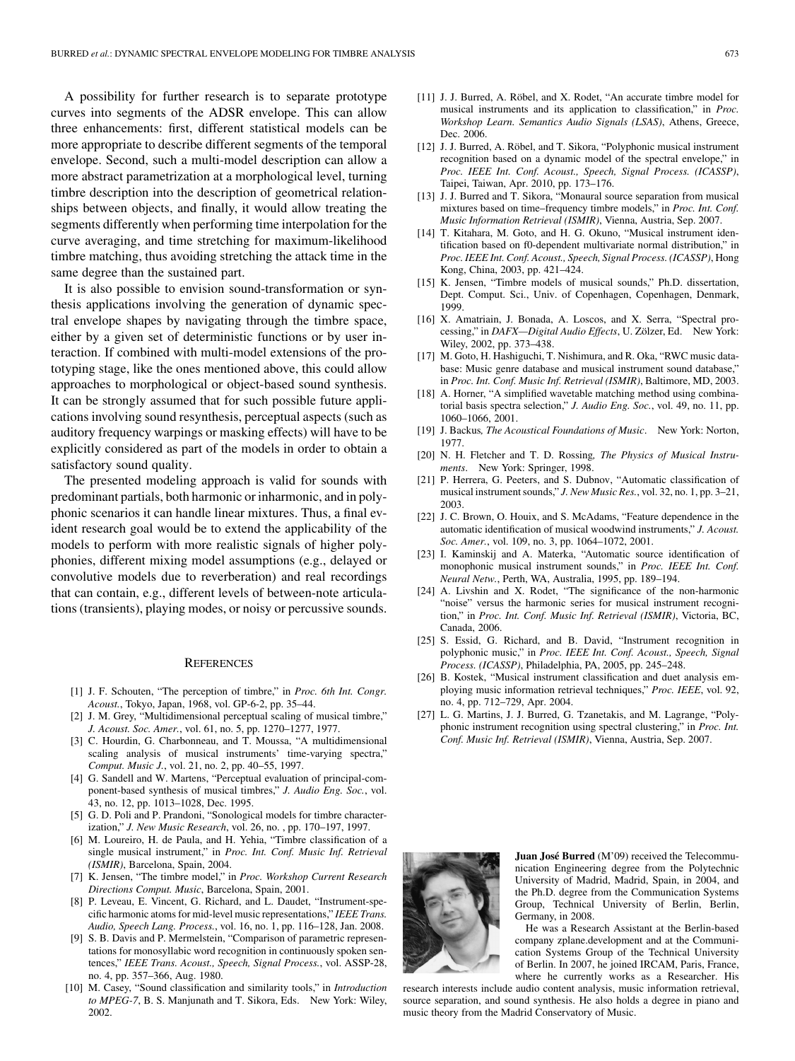A possibility for further research is to separate prototype curves into segments of the ADSR envelope. This can allow three enhancements: first, different statistical models can be more appropriate to describe different segments of the temporal envelope. Second, such a multi-model description can allow a more abstract parametrization at a morphological level, turning timbre description into the description of geometrical relationships between objects, and finally, it would allow treating the segments differently when performing time interpolation for the curve averaging, and time stretching for maximum-likelihood timbre matching, thus avoiding stretching the attack time in the same degree than the sustained part.

It is also possible to envision sound-transformation or synthesis applications involving the generation of dynamic spectral envelope shapes by navigating through the timbre space, either by a given set of deterministic functions or by user interaction. If combined with multi-model extensions of the prototyping stage, like the ones mentioned above, this could allow approaches to morphological or object-based sound synthesis. It can be strongly assumed that for such possible future applications involving sound resynthesis, perceptual aspects (such as auditory frequency warpings or masking effects) will have to be explicitly considered as part of the models in order to obtain a satisfactory sound quality.

The presented modeling approach is valid for sounds with predominant partials, both harmonic or inharmonic, and in polyphonic scenarios it can handle linear mixtures. Thus, a final evident research goal would be to extend the applicability of the models to perform with more realistic signals of higher polyphonies, different mixing model assumptions (e.g., delayed or convolutive models due to reverberation) and real recordings that can contain, e.g., different levels of between-note articulations (transients), playing modes, or noisy or percussive sounds.

#### **REFERENCES**

- [1] J. F. Schouten, "The perception of timbre," in *Proc. 6th Int. Congr. Acoust.*, Tokyo, Japan, 1968, vol. GP-6-2, pp. 35–44.
- [2] J. M. Grey, "Multidimensional perceptual scaling of musical timbre," *J. Acoust. Soc. Amer.*, vol. 61, no. 5, pp. 1270–1277, 1977.
- [3] C. Hourdin, G. Charbonneau, and T. Moussa, "A multidimensional scaling analysis of musical instruments' time-varying spectra," *Comput. Music J.*, vol. 21, no. 2, pp. 40–55, 1997.
- [4] G. Sandell and W. Martens, "Perceptual evaluation of principal-component-based synthesis of musical timbres," *J. Audio Eng. Soc.*, vol. 43, no. 12, pp. 1013–1028, Dec. 1995.
- [5] G. D. Poli and P. Prandoni, "Sonological models for timbre characterization," *J. New Music Research*, vol. 26, no. , pp. 170–197, 1997.
- [6] M. Loureiro, H. de Paula, and H. Yehia, "Timbre classification of a single musical instrument," in *Proc. Int. Conf. Music Inf. Retrieval (ISMIR)*, Barcelona, Spain, 2004.
- [7] K. Jensen, "The timbre model," in *Proc. Workshop Current Research Directions Comput. Music*, Barcelona, Spain, 2001.
- [8] P. Leveau, E. Vincent, G. Richard, and L. Daudet, "Instrument-specific harmonic atoms for mid-level music representations," *IEEE Trans. Audio, Speech Lang. Process.*, vol. 16, no. 1, pp. 116–128, Jan. 2008.
- [9] S. B. Davis and P. Mermelstein, "Comparison of parametric representations for monosyllabic word recognition in continuously spoken sentences," *IEEE Trans. Acoust., Speech, Signal Process.*, vol. ASSP-28, no. 4, pp. 357–366, Aug. 1980.
- [10] M. Casey, "Sound classification and similarity tools," in *Introduction to MPEG-7*, B. S. Manjunath and T. Sikora, Eds. New York: Wiley, 2002.
- [11] J. J. Burred, A. Röbel, and X. Rodet, "An accurate timbre model for musical instruments and its application to classification," in *Proc. Workshop Learn. Semantics Audio Signals (LSAS)*, Athens, Greece, Dec. 2006.
- [12] J. J. Burred, A. Röbel, and T. Sikora, "Polyphonic musical instrument recognition based on a dynamic model of the spectral envelope," in *Proc. IEEE Int. Conf. Acoust., Speech, Signal Process. (ICASSP)*, Taipei, Taiwan, Apr. 2010, pp. 173–176.
- [13] J. J. Burred and T. Sikora, "Monaural source separation from musical mixtures based on time–frequency timbre models," in *Proc. Int. Conf. Music Information Retrieval (ISMIR)*, Vienna, Austria, Sep. 2007.
- [14] T. Kitahara, M. Goto, and H. G. Okuno, "Musical instrument identification based on f0-dependent multivariate normal distribution," in *Proc. IEEE Int. Conf. Acoust., Speech, Signal Process. (ICASSP)*, Hong Kong, China, 2003, pp. 421–424.
- [15] K. Jensen, "Timbre models of musical sounds," Ph.D. dissertation, Dept. Comput. Sci., Univ. of Copenhagen, Copenhagen, Denmark, 1999.
- [16] X. Amatriain, J. Bonada, A. Loscos, and X. Serra, "Spectral processing," in *DAFX—Digital Audio Effects*, U. Zölzer, Ed. New York: Wiley, 2002, pp. 373–438.
- [17] M. Goto, H. Hashiguchi, T. Nishimura, and R. Oka, "RWC music database: Music genre database and musical instrument sound database," in *Proc. Int. Conf. Music Inf. Retrieval (ISMIR)*, Baltimore, MD, 2003.
- [18] A. Horner, "A simplified wavetable matching method using combinatorial basis spectra selection," *J. Audio Eng. Soc.*, vol. 49, no. 11, pp. 1060–1066, 2001.
- [19] J. Backus*, The Acoustical Foundations of Music*. New York: Norton, 1977.
- [20] N. H. Fletcher and T. D. Rossing*, The Physics of Musical Instruments*. New York: Springer, 1998.
- [21] P. Herrera, G. Peeters, and S. Dubnov, "Automatic classification of musical instrument sounds," *J. New Music Res.*, vol. 32, no. 1, pp. 3–21, 2003.
- [22] J. C. Brown, O. Houix, and S. McAdams, "Feature dependence in the automatic identification of musical woodwind instruments," *J. Acoust. Soc. Amer.*, vol. 109, no. 3, pp. 1064–1072, 2001.
- [23] I. Kaminskij and A. Materka, "Automatic source identification of monophonic musical instrument sounds," in *Proc. IEEE Int. Conf. Neural Netw.*, Perth, WA, Australia, 1995, pp. 189–194.
- [24] A. Livshin and X. Rodet, "The significance of the non-harmonic "noise" versus the harmonic series for musical instrument recognition," in *Proc. Int. Conf. Music Inf. Retrieval (ISMIR)*, Victoria, BC, Canada, 2006.
- [25] S. Essid, G. Richard, and B. David, "Instrument recognition in polyphonic music," in *Proc. IEEE Int. Conf. Acoust., Speech, Signal Process. (ICASSP)*, Philadelphia, PA, 2005, pp. 245–248.
- [26] B. Kostek, "Musical instrument classification and duet analysis employing music information retrieval techniques," *Proc. IEEE*, vol. 92, no. 4, pp. 712–729, Apr. 2004.
- [27] L. G. Martins, J. J. Burred, G. Tzanetakis, and M. Lagrange, "Polyphonic instrument recognition using spectral clustering," in *Proc. Int. Conf. Music Inf. Retrieval (ISMIR)*, Vienna, Austria, Sep. 2007.



**Juan José Burred** (M'09) received the Telecommunication Engineering degree from the Polytechnic University of Madrid, Madrid, Spain, in 2004, and the Ph.D. degree from the Communication Systems Group, Technical University of Berlin, Berlin, Germany, in 2008.

He was a Research Assistant at the Berlin-based company zplane.development and at the Communication Systems Group of the Technical University of Berlin. In 2007, he joined IRCAM, Paris, France, where he currently works as a Researcher. His

research interests include audio content analysis, music information retrieval, source separation, and sound synthesis. He also holds a degree in piano and music theory from the Madrid Conservatory of Music.